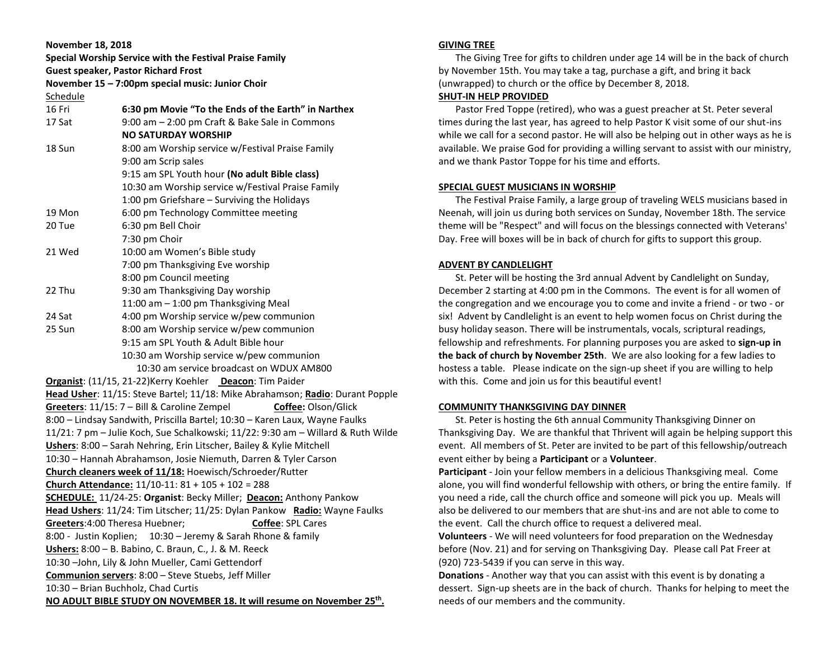**November 18, 2018 Special Worship Service with the Festival Praise Family Guest speaker, Pastor Richard Frost November 15 – 7:00pm special music: Junior Choir** Schedule 16 Fri **6:30 pm Movie "To the Ends of the Earth" in Narthex** 17 Sat 9:00 am – 2:00 pm Craft & Bake Sale in Commons **NO SATURDAY WORSHIP** 18 Sun 8:00 am Worship service w/Festival Praise Family 9:00 am Scrip sales 9:15 am SPL Youth hour **(No adult Bible class)** 10:30 am Worship service w/Festival Praise Family 1:00 pm Griefshare – Surviving the Holidays 19 Mon 6:00 pm Technology Committee meeting 20 Tue 6:30 pm Bell Choir 7:30 pm Choir 21 Wed 10:00 am Women's Bible study 7:00 pm Thanksgiving Eve worship 8:00 pm Council meeting 22 Thu 9:30 am Thanksgiving Day worship 11:00 am – 1:00 pm Thanksgiving Meal 24 Sat 4:00 pm Worship service w/pew communion 25 Sun 8:00 am Worship service w/pew communion 9:15 am SPL Youth & Adult Bible hour 10:30 am Worship service w/pew communion 10:30 am service broadcast on WDUX AM800 **Organist**: (11/15, 21-22)Kerry Koehler **Deacon**: Tim Paider **Head Usher**: 11/15: Steve Bartel; 11/18: Mike Abrahamson; **Radio**: Durant Popple **Greeters**: 11/15: 7 – Bill & Caroline Zempel **Coffee:** Olson/Glick 8:00 – Lindsay Sandwith, Priscilla Bartel; 10:30 – Karen Laux, Wayne Faulks 11/21: 7 pm – Julie Koch, Sue Schalkowski; 11/22: 9:30 am – Willard & Ruth Wilde **Ushers**: 8:00 – Sarah Nehring, Erin Litscher, Bailey & Kylie Mitchell 10:30 – Hannah Abrahamson, Josie Niemuth, Darren & Tyler Carson **Church cleaners week of 11/18:** Hoewisch/Schroeder/Rutter **Church Attendance:** 11/10-11: 81 + 105 + 102 = 288 **SCHEDULE:** 11/24-25: **Organist**: Becky Miller; **Deacon:** Anthony Pankow **Head Ushers**: 11/24: Tim Litscher; 11/25: Dylan Pankow **Radio:** Wayne Faulks **Greeters:**4:00 Theresa Huebner: **Coffee**: SPL Cares 8:00 - Justin Koplien; 10:30 – Jeremy & Sarah Rhone & family **Ushers:** 8:00 – B. Babino, C. Braun, C., J. & M. Reeck 10:30 –John, Lily & John Mueller, Cami Gettendorf **Communion servers**: 8:00 – Steve Stuebs, Jeff Miller 10:30 – Brian Buchholz, Chad Curtis **NO ADULT BIBLE STUDY ON NOVEMBER 18. It will resume on November 25th .**

# **GIVING TREE**

 The Giving Tree for gifts to children under age 14 will be in the back of church by November 15th. You may take a tag, purchase a gift, and bring it back (unwrapped) to church or the office by December 8, 2018.

# **SHUT-IN HELP PROVIDED**

 Pastor Fred Toppe (retired), who was a guest preacher at St. Peter several times during the last year, has agreed to help Pastor K visit some of our shut-ins while we call for a second pastor. He will also be helping out in other ways as he is available. We praise God for providing a willing servant to assist with our ministry, and we thank Pastor Toppe for his time and efforts.

# **SPECIAL GUEST MUSICIANS IN WORSHIP**

 The Festival Praise Family, a large group of traveling WELS musicians based in Neenah, will join us during both services on Sunday, November 18th. The service theme will be "Respect" and will focus on the blessings connected with Veterans' Day. Free will boxes will be in back of church for gifts to support this group.

# **ADVENT BY CANDLELIGHT**

 St. Peter will be hosting the 3rd annual Advent by Candlelight on Sunday, December 2 starting at 4:00 pm in the Commons. The event is for all women of the congregation and we encourage you to come and invite a friend - or two - or six! Advent by Candlelight is an event to help women focus on Christ during the busy holiday season. There will be instrumentals, vocals, scriptural readings, fellowship and refreshments. For planning purposes you are asked to **sign-up in the back of church by November 25th**. We are also looking for a few ladies to hostess a table. Please indicate on the sign-up sheet if you are willing to help with this. Come and join us for this beautiful event!

#### **COMMUNITY THANKSGIVING DAY DINNER**

 St. Peter is hosting the 6th annual Community Thanksgiving Dinner on Thanksgiving Day. We are thankful that Thrivent will again be helping support this event. All members of St. Peter are invited to be part of this fellowship/outreach event either by being a **Participant** or a **Volunteer**.

**Participant** - Join your fellow members in a delicious Thanksgiving meal. Come alone, you will find wonderful fellowship with others, or bring the entire family. If you need a ride, call the church office and someone will pick you up. Meals will also be delivered to our members that are shut-ins and are not able to come to the event. Call the church office to request a delivered meal.

**Volunteers** - We will need volunteers for food preparation on the Wednesday before (Nov. 21) and for serving on Thanksgiving Day. Please call Pat Freer at (920) 723-5439 if you can serve in this way.

**Donations** - Another way that you can assist with this event is by donating a dessert. Sign-up sheets are in the back of church. Thanks for helping to meet the needs of our members and the community.